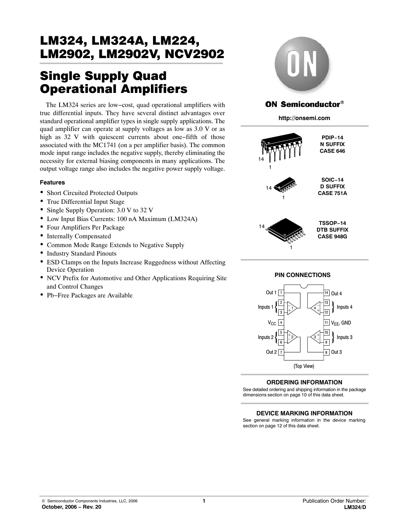# Single Supply Quad Operational Amplifiers

The LM324 series are low−cost, quad operational amplifiers with true differential inputs. They have several distinct advantages over standard operational amplifier types in single supply applications. The quad amplifier can operate at supply voltages as low as 3.0 V or as high as 32 V with quiescent currents about one−fifth of those associated with the MC1741 (on a per amplifier basis). The common mode input range includes the negative supply, thereby eliminating the necessity for external biasing components in many applications. The output voltage range also includes the negative power supply voltage.

### **Features**

- Short Circuited Protected Outputs
- True Differential Input Stage
- Single Supply Operation: 3.0 V to 32 V
- Low Input Bias Currents: 100 nA Maximum (LM324A)
- Four Amplifiers Per Package
- Internally Compensated
- Common Mode Range Extends to Negative Supply
- Industry Standard Pinouts
- ESD Clamps on the Inputs Increase Ruggedness without Affecting Device Operation
- NCV Prefix for Automotive and Other Applications Requiring Site and Control Changes
- Pb−Free Packages are Available



## ON Semiconductor®

**http://onsemi.com**



**PIN CONNECTIONS**



## **ORDERING INFORMATION**

See detailed ordering and shipping information in the package dimensions section on page [10 of this data sheet.](#page-9-0)

#### **DEVICE MARKING INFORMATION**

See general marking information in the device marking section on page [12 of this data sheet.](#page-11-0)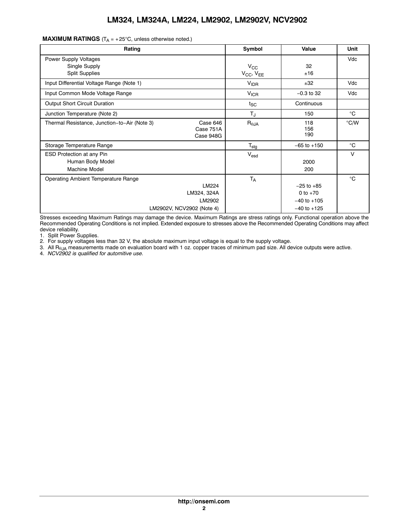| Rating                                                                                             | Symbol                              | Value                                                              | Unit          |
|----------------------------------------------------------------------------------------------------|-------------------------------------|--------------------------------------------------------------------|---------------|
| Power Supply Voltages<br>Single Supply<br><b>Split Supplies</b>                                    | $V_{\rm CC}$<br>$V_{CC}$ , $V_{EE}$ | 32<br>±16                                                          | Vdc           |
| Input Differential Voltage Range (Note 1)                                                          | V <sub>IDR</sub>                    | ±32                                                                | Vdc           |
| Input Common Mode Voltage Range                                                                    | <b>V<sub>ICR</sub></b>              | $-0.3$ to 32                                                       | Vdc           |
| Output Short Circuit Duration                                                                      | $t_{SC}$                            | Continuous                                                         |               |
| Junction Temperature (Note 2)                                                                      | $T_{\rm J}$                         | 150                                                                | $^{\circ}$ C  |
| Case 646<br>Thermal Resistance, Junction-to-Air (Note 3)<br>Case 751A<br>Case 948G                 | $R_{\theta JA}$                     | 118<br>156<br>190                                                  | $\degree$ C/W |
| Storage Temperature Range                                                                          | $T_{\text{stg}}$                    | $-65$ to $+150$                                                    | $^{\circ}C$   |
| <b>ESD Protection at any Pin</b><br>Human Body Model<br><b>Machine Model</b>                       | $V_{\text{esd}}$                    | 2000<br>200                                                        | V             |
| Operating Ambient Temperature Range<br>LM224<br>LM324, 324A<br>LM2902<br>LM2902V, NCV2902 (Note 4) | <b>TA</b>                           | $-25$ to $+85$<br>0 to $+70$<br>$-40$ to $+105$<br>$-40$ to $+125$ | $^{\circ}C$   |

**MAXIMUM RATINGS**  $(T_A = +25^{\circ}C,$  unless otherwise noted.)

Stresses exceeding Maximum Ratings may damage the device. Maximum Ratings are stress ratings only. Functional operation above the Recommended Operating Conditions is not implied. Extended exposure to stresses above the Recommended Operating Conditions may affect device reliability.

1. Split Power Supplies.

2. For supply voltages less than 32 V, the absolute maximum input voltage is equal to the supply voltage.

3. All R<sub>θJA</sub> measurements made on evaluation board with 1 oz. copper traces of minimum pad size. All device outputs were active.

4. *NCV2902 is qualified for automitive use.*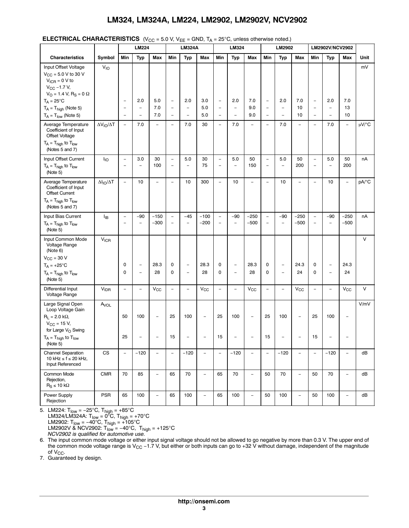|  | <b>ELECTRICAL CHARACTERISTICS</b> (V <sub>CC</sub> = 5.0 V, V <sub>EE</sub> = GND, $T_A$ = 25°C, unless otherwise noted.) |
|--|---------------------------------------------------------------------------------------------------------------------------|
|--|---------------------------------------------------------------------------------------------------------------------------|

|                                                                                                                                                                                             |                          |                                                      | <b>LM224</b>                                         |                          |                                                      | <b>LM324A</b>                              |                                                      |                                                      | LM324                                                |                                                      |                                               | LM2902                                               |                                            |                                                      | LM2902V/NCV2902                            |                          |             |
|---------------------------------------------------------------------------------------------------------------------------------------------------------------------------------------------|--------------------------|------------------------------------------------------|------------------------------------------------------|--------------------------|------------------------------------------------------|--------------------------------------------|------------------------------------------------------|------------------------------------------------------|------------------------------------------------------|------------------------------------------------------|-----------------------------------------------|------------------------------------------------------|--------------------------------------------|------------------------------------------------------|--------------------------------------------|--------------------------|-------------|
| <b>Characteristics</b>                                                                                                                                                                      | Symbol                   | Min                                                  | <b>Typ</b>                                           | Max                      | Min                                                  | <b>Typ</b>                                 | Max                                                  | Min                                                  | <b>Typ</b>                                           | Max                                                  | Min                                           | <b>Typ</b>                                           | Max                                        | Min                                                  | <b>Typ</b>                                 | Max                      | Unit        |
| Input Offset Voltage<br>$V_{CC}$ = 5.0 V to 30 V<br>$V_{ICR} = 0 V to$<br>$V_{\text{CC}} - 1.7 V,$<br>$V_O = 1.4$ V, $R_S = 0$ $\Omega$<br>$T_A = 25^{\circ}C$<br>$T_A = T_{high}$ (Note 5) | $V_{IO}$                 | $\qquad \qquad -$<br>$\qquad \qquad -$               | 2.0<br>$\overline{\phantom{a}}$                      | 5.0<br>7.0               | $\overline{\phantom{0}}$<br>$\overline{\phantom{0}}$ | 2.0<br>$\overline{\phantom{0}}$            | 3.0<br>5.0                                           | $\overline{\phantom{a}}$<br>$\overline{\phantom{a}}$ | 2.0<br>$\overline{\phantom{a}}$                      | 7.0<br>9.0                                           | $\overline{\phantom{a}}$<br>$\qquad \qquad -$ | 2.0<br>$\overline{\phantom{a}}$                      | 7.0<br>10                                  | $\overline{\phantom{a}}$<br>$\qquad \qquad -$        | 2.0<br>$\qquad \qquad -$                   | 7.0<br>13                | mV          |
| $T_A = T_{low}$ (Note 5)                                                                                                                                                                    |                          | $\overline{\phantom{0}}$                             | $\overline{a}$                                       | 7.0                      | $\overline{\phantom{0}}$                             | $\overline{a}$                             | 5.0                                                  | $\overline{\phantom{a}}$                             | $\overline{\phantom{0}}$                             | 9.0                                                  | $\overline{a}$                                | $\overline{\phantom{0}}$                             | 10                                         | $\overline{a}$                                       | $\overline{a}$                             | 10                       |             |
| Average Temperature<br>Coefficient of Input<br>Offset Voltage<br>$T_A = T_{high}$ to $T_{low}$<br>(Notes 5 and 7)                                                                           | $\Delta V_{IO}/\Delta T$ | $\overline{\phantom{a}}$                             | 7.0                                                  | $\overline{\phantom{0}}$ | $\overline{a}$                                       | 7.0                                        | 30                                                   | $\overline{\phantom{a}}$                             | 7.0                                                  | $\overline{\phantom{0}}$                             | $\overline{\phantom{0}}$                      | 7.0                                                  | $\overline{a}$                             | $\overline{\phantom{0}}$                             | 7.0                                        | $\overline{\phantom{0}}$ | $\mu V$ /°C |
| Input Offset Current<br>$T_A = T_{high}$ to $T_{low}$<br>(Note 5)                                                                                                                           | ŀιο                      | $\qquad \qquad -$<br>$\overline{a}$                  | 3.0<br>$\overline{\phantom{0}}$                      | 30<br>100                | $\overline{a}$<br>$\overline{a}$                     | 5.0<br>$\overline{a}$                      | 30<br>75                                             | $\overline{\phantom{a}}$<br>$\overline{\phantom{a}}$ | 5.0<br>$\overline{\phantom{a}}$                      | 50<br>150                                            | $\overline{\phantom{0}}$<br>$\qquad \qquad -$ | 5.0<br>$\overline{\phantom{a}}$                      | 50<br>200                                  | $\overline{\phantom{a}}$<br>$\overline{a}$           | 5.0<br>$\overline{a}$                      | 50<br>200                | nA          |
| Average Temperature<br>Coefficient of Input<br><b>Offset Current</b><br>$T_A = T_{high}$ to $T_{low}$<br>(Notes 5 and 7)                                                                    | $\Delta I_{IO}/\Delta T$ | $\overline{\phantom{a}}$                             | 10                                                   | $\overline{\phantom{a}}$ | $\overline{a}$                                       | 10                                         | 300                                                  | $\overline{\phantom{a}}$                             | 10                                                   | $\overline{\phantom{a}}$                             | $\overline{a}$                                | 10                                                   | $\overline{a}$                             | $\overline{a}$                                       | 10                                         | $\overline{\phantom{a}}$ | pA/°C       |
| Input Bias Current<br>$T_A = T_{high}$ to $T_{low}$<br>(Note 5)                                                                                                                             | ŀв                       | $\overline{\phantom{0}}$<br>$\overline{\phantom{0}}$ | $-90$<br>$\overline{a}$                              | $-150$<br>$-300$         | $\overline{\phantom{0}}$<br>$\overline{a}$           | $-45$<br>$\overline{a}$                    | $-100$<br>$-200$                                     | $\overline{\phantom{a}}$<br>$\overline{\phantom{a}}$ | $-90$<br>$\overline{a}$                              | $-250$<br>$-500$                                     | $\qquad \qquad -$<br>$\overline{\phantom{0}}$ | $-90$<br>$\overline{a}$                              | $-250$<br>$-500$                           | $\overline{\phantom{0}}$<br>$\overline{\phantom{0}}$ | $-90$<br>$\overline{\phantom{0}}$          | $-250$<br>$-500$         | nA          |
| Input Common Mode<br>Voltage Range<br>(Note 6)<br>$V_{\text{CC}}$ = 30 V<br>$T_A = +25$ °C<br>$T_A = T_{high}$ to $T_{low}$                                                                 | <b>V<sub>ICR</sub></b>   | 0<br>0                                               | $\overline{\phantom{a}}$<br>$\overline{\phantom{a}}$ | 28.3<br>28               | 0<br>0                                               | $\overline{a}$<br>$\overline{\phantom{0}}$ | 28.3<br>28                                           | 0<br>0                                               | $\overline{\phantom{a}}$<br>$\overline{\phantom{a}}$ | 28.3<br>28                                           | 0<br>0                                        | $\overline{\phantom{a}}$<br>$\overline{\phantom{a}}$ | 24.3<br>24                                 | 0<br>$\mathbf 0$                                     | $\overline{\phantom{a}}$<br>$\overline{a}$ | 24.3<br>24               | $\vee$      |
| (Note 5)<br>Differential Input<br>Voltage Range                                                                                                                                             | <b>VIDR</b>              | $\overline{\phantom{a}}$                             | $\overline{\phantom{m}}$                             | $V_{CC}$                 | $\overline{a}$                                       | $\overline{a}$                             | $V_{\rm CC}$                                         | $\overline{\phantom{a}}$                             | $\overline{\phantom{0}}$                             | $V_{CC}$                                             | $\overline{\phantom{0}}$                      | $\overline{\phantom{a}}$                             | $\mathsf{V}_{\mathsf{CC}}$                 | $\overline{\phantom{0}}$                             | $\overline{\phantom{0}}$                   | $V_{\rm CC}$             | $\vee$      |
| Large Signal Open<br>Loop Voltage Gain<br>$R_1 = 2.0 k\Omega$ ,<br>$V_{\rm CC}$ = 15 V,<br>for Large V <sub>O</sub> Swing<br>$T_A = T_{high}$ to $T_{low}$<br>(Note 5)                      | $A_{VOL}$                | 50<br>25                                             | 100<br>$\overline{\phantom{0}}$                      | $\overline{\phantom{a}}$ | 25<br>15                                             | 100<br>$\overline{a}$                      | $\overline{\phantom{0}}$<br>$\overline{\phantom{0}}$ | 25<br>15                                             | 100<br>$\overline{\phantom{0}}$                      | $\overline{\phantom{a}}$<br>$\overline{\phantom{0}}$ | 25<br>15                                      | 100<br>$\qquad \qquad -$                             | $\overline{\phantom{0}}$<br>$\overline{a}$ | 25<br>15                                             | 100<br>$\overline{a}$                      | $\overline{\phantom{a}}$ | V/mV        |
| <b>Channel Separation</b><br>10 kHz $\leq$ f $\leq$ 20 kHz,<br>Input Referenced                                                                                                             | CS                       | $\qquad \qquad -$                                    | $-120$                                               | $\frac{1}{2}$            | $\overline{a}$                                       | $-120$                                     | $\overline{a}$                                       | $\overline{a}$                                       | $-120$                                               | $\overline{a}$                                       | $\overline{a}$                                | $-120$                                               | $\overline{a}$                             | $\overline{a}$                                       | $-120$                                     | $\overline{a}$           | dB          |
| Common Mode<br>Rejection,<br>$R_S \le 10 k\Omega$                                                                                                                                           | <b>CMR</b>               | 70                                                   | 85                                                   | $\overline{\phantom{a}}$ | 65                                                   | 70                                         | $\overline{\phantom{0}}$                             | 65                                                   | 70                                                   | $\overline{\phantom{m}}$                             | 50                                            | 70                                                   | $\qquad \qquad -$                          | 50                                                   | 70                                         | $\overline{\phantom{0}}$ | dB          |
| Power Supply<br>Rejection                                                                                                                                                                   | <b>PSR</b>               | 65                                                   | 100                                                  | $\overline{\phantom{a}}$ | 65                                                   | 100                                        | $\overline{\phantom{0}}$                             | 65                                                   | 100                                                  | $\overline{\phantom{a}}$                             | 50                                            | 100                                                  | $\overline{\phantom{0}}$                   | 50                                                   | 100                                        | $\qquad \qquad -$        | dB          |

5. LM224: T<sub>low</sub> = −25°C, T<sub>high</sub> = +85°C LM324/LM324A: T<sub>low</sub> = 0°C, T<sub>high</sub> = +70°C LM2902: T<sub>low</sub> = −40°C, T<sub>high</sub> = +105°C LM2902V & NCV2902: T<sub>low</sub> = −40°C, T<sub>high</sub> = +125°C *NCV2902 is qualified for automotive use.*

6. The input common mode voltage or either input signal voltage should not be allowed to go negative by more than 0.3 V. The upper end of the common mode voltage range is V<sub>CC</sub> −1.7 V, but either or both inputs can go to +32 V without damage, independent of the magnitude

of V<sub>CC</sub>.<br>7. Guaranteed by design.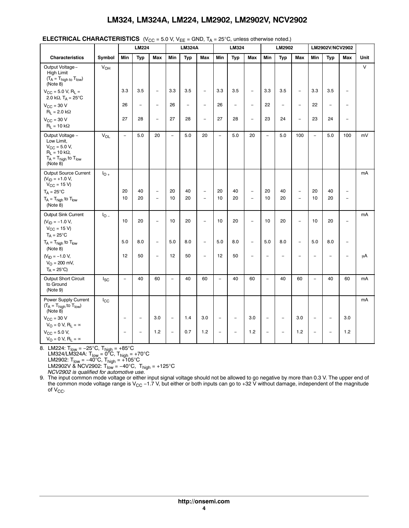|                                                                                                                              |                 |                          | いいし<br><b>LM224</b>      |                                                      | - 0.0 %, PLE             | <b>LM324A</b>  | - 9119, 1 <sub>A</sub>                     |                          | $\epsilon$ $\epsilon$ , annous stribit most notice;<br>LM324 |                          |                          | LM2902                   |                                                      |                          | LM2902V/NCV2902          |                          |        |
|------------------------------------------------------------------------------------------------------------------------------|-----------------|--------------------------|--------------------------|------------------------------------------------------|--------------------------|----------------|--------------------------------------------|--------------------------|--------------------------------------------------------------|--------------------------|--------------------------|--------------------------|------------------------------------------------------|--------------------------|--------------------------|--------------------------|--------|
| <b>Characteristics</b>                                                                                                       | Symbol          | Min                      | Typ                      | Max                                                  | Min                      | Typ            | Max                                        | Min                      | Typ                                                          | Max                      | Min                      | Typ                      | Max                                                  | Min                      | Typ                      | Max                      | Unit   |
| Output Voltage-<br>High Limit<br>$(T_A = T_{high\ to}\ T_{low})$<br>(Note 8)                                                 | $V_{OH}$        |                          |                          |                                                      |                          |                |                                            |                          |                                                              |                          |                          |                          |                                                      |                          |                          |                          | $\vee$ |
| $V_{CC}$ = 5.0 V, R <sub>L</sub> =<br>2.0 k $\Omega$ , T <sub>A</sub> = 25°C                                                 |                 | 3.3                      | 3.5                      | $\overline{\phantom{a}}$                             | 3.3                      | 3.5            | $\overline{\phantom{a}}$                   | 3.3                      | 3.5                                                          | $\overline{a}$           | 3.3                      | 3.5                      | $\overline{\phantom{a}}$                             | 3.3                      | 3.5                      | $\overline{\phantom{a}}$ |        |
| $V_{\text{CC}} = 30 \text{ V}$<br>$R_L = 2.0 k\Omega$                                                                        |                 | 26                       | $\overline{\phantom{m}}$ | $\overline{\phantom{a}}$                             | 26                       | $\overline{a}$ | $\overline{\phantom{0}}$                   | 26                       | $\overline{\phantom{0}}$                                     | $\overline{\phantom{0}}$ | 22                       | $\qquad \qquad -$        | $\overline{a}$                                       | 22                       |                          |                          |        |
| $V_{\text{CC}} = 30 \text{ V}$<br>$R_L = 10 k\Omega$                                                                         |                 | 27                       | 28                       | $\overline{\phantom{a}}$                             | 27                       | 28             | $\overline{a}$                             | 27                       | 28                                                           | $\overline{\phantom{a}}$ | 23                       | 24                       | $\overline{\phantom{a}}$                             | 23                       | 24                       | $\overline{\phantom{a}}$ |        |
| Output Voltage -<br>Low Limit,<br>$V_{\rm CC}$ = 5.0 V,<br>$R_L = 10 k\Omega$ ,<br>$T_A = T_{high}$ to $T_{low}$<br>(Note 8) | V <sub>OL</sub> | $\overline{\phantom{a}}$ | 5.0                      | 20                                                   | $\overline{a}$           | 5.0            | 20                                         | $\overline{\phantom{a}}$ | 5.0                                                          | 20                       | $\overline{a}$           | 5.0                      | 100                                                  | $\overline{a}$           | 5.0                      | 100                      | mV     |
| Output Source Current<br>$(V_{ID} = +1.0 V,$<br>$V_{CC} = 15 V$                                                              | $I_{O+}$        |                          |                          |                                                      |                          |                |                                            |                          |                                                              |                          |                          |                          |                                                      |                          |                          |                          | mA     |
| $T_A = 25^{\circ}C$<br>$T_A = T_{high}$ to $T_{low}$<br>(Note 8)                                                             |                 | 20<br>10                 | 40<br>20                 | $\overline{\phantom{a}}$<br>$\overline{\phantom{m}}$ | 20<br>10                 | 40<br>20       | $\overline{\phantom{0}}$<br>$\overline{a}$ | 20<br>10                 | 40<br>20                                                     | $\overline{\phantom{a}}$ | 20<br>10                 | 40<br>20                 | $\overline{\phantom{0}}$<br>$\overline{\phantom{0}}$ | 20<br>10                 | 40<br>20                 | $\qquad \qquad -$        |        |
| <b>Output Sink Current</b><br>$(V_{ID} = -1.0 V,$<br>$V_{CC} = 15 V$<br>$T_A = 25^{\circ}C$                                  | $I_{\Omega}$    | 10                       | 20                       | $\overline{a}$                                       | 10                       | 20             | $\overline{a}$                             | 10                       | 20                                                           | $\overline{a}$           | 10                       | 20                       | $\overline{\phantom{0}}$                             | 10                       | 20                       | $\overline{\phantom{a}}$ | mA     |
| $T_A = T_{high}$ to $T_{low}$<br>(Note 8)                                                                                    |                 | 5.0                      | 8.0                      | $\overline{\phantom{a}}$                             | 5.0                      | 8.0            | $\overline{\phantom{0}}$                   | 5.0                      | 8.0                                                          | $\overline{\phantom{0}}$ | 5.0                      | 8.0                      | $\overline{a}$                                       | 5.0                      | 8.0                      |                          |        |
| $(V_{ID} = -1.0 V,$<br>$V_{\Omega} = 200$ mV,<br>$T_A = 25^{\circ}C$                                                         |                 | 12                       | 50                       | $\overline{\phantom{a}}$                             | 12                       | 50             | $\overline{\phantom{a}}$                   | 12                       | 50                                                           | $\overline{a}$           |                          | $\overline{\phantom{0}}$ | $\overline{\phantom{0}}$                             | $\overline{\phantom{0}}$ | $\overline{a}$           | $\overline{\phantom{0}}$ | μA     |
| <b>Output Short Circuit</b><br>to Ground<br>(Note 9)                                                                         | $I_{SC}$        | $\overline{\phantom{a}}$ | 40                       | 60                                                   | $\overline{a}$           | 40             | 60                                         | $\overline{\phantom{a}}$ | 40                                                           | 60                       | $\overline{\phantom{0}}$ | 40                       | 60                                                   | $\overline{a}$           | 40                       | 60                       | mA     |
| Power Supply Current<br>$(T_A = T_{high}$ to $T_{low}$ )<br>(Note 8)                                                         | $I_{\rm CC}$    |                          |                          |                                                      |                          |                |                                            |                          |                                                              |                          |                          |                          |                                                      |                          |                          |                          | mA     |
| $V_{CC}$ = 30 V<br>$V_O = 0 V, R_L = \infty$                                                                                 |                 | $\overline{\phantom{0}}$ | $\overline{\phantom{a}}$ | 3.0                                                  | $\overline{\phantom{0}}$ | 1.4            | 3.0                                        | $\overline{\phantom{a}}$ | $\overline{\phantom{0}}$                                     | 3.0                      | $\overline{\phantom{0}}$ | $\overline{\phantom{a}}$ | 3.0                                                  | $\overline{a}$           | $\overline{\phantom{0}}$ | 3.0                      |        |
| $V_{\text{CC}} = 5.0 V,$<br>$V_O = 0 V, R_L = \infty$                                                                        |                 |                          | $\overline{a}$           | 1.2                                                  | $\overline{a}$           | 0.7            | 1.2                                        | $\overline{\phantom{a}}$ | $\overline{a}$                                               | 1.2                      | $\overline{a}$           | $\overline{\phantom{a}}$ | 1.2                                                  | $\overline{\phantom{m}}$ |                          | 1.2                      |        |

**ELECTRICAL CHARACTERISTICS**  $(V_{CC} = 5.0 \text{ V}, V_{EF} = \text{GND}, T_A = 25^{\circ} \text{C}, \text{ unless otherwise noted.)}$ 

8. LM224: T<sub>low</sub> = −25°C, T<sub>high</sub> = +85°C LM324/LM324A: T<sub>low</sub> = 0<sup>8</sup>C, T<sub>high</sub> = +70°C LM2902: T<sub>low</sub> = −40°C, T<sub>high</sub> = +105°C LM2902V & NCV2902: Tlow = −40°C, Thigh = +125°C *NCV2902 is qualified for automotive use.*

9. The input common mode voltage or either input signal voltage should not be allowed to go negative by more than 0.3 V. The upper end of the common mode voltage range is V<sub>CC</sub> −1.7 V, but either or both inputs can go to +32 V without damage, independent of the magnitude of  $V_{CC}$ .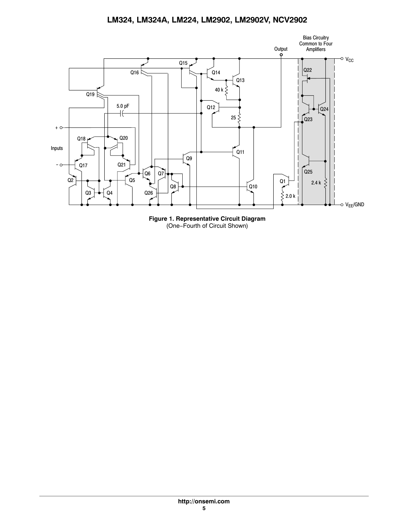

**Figure 1. Representative Circuit Diagram** (One−Fourth of Circuit Shown)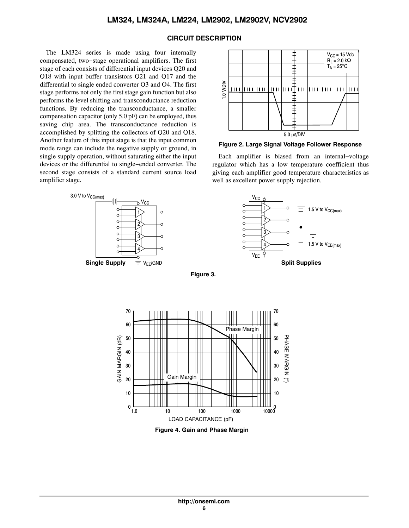#### **CIRCUIT DESCRIPTION**

The LM324 series is made using four internally compensated, two−stage operational amplifiers. The first stage of each consists of differential input devices Q20 and Q18 with input buffer transistors Q21 and Q17 and the differential to single ended converter Q3 and Q4. The first stage performs not only the first stage gain function but also performs the level shifting and transconductance reduction functions. By reducing the transconductance, a smaller compensation capacitor (only 5.0 pF) can be employed, thus saving chip area. The transconductance reduction is accomplished by splitting the collectors of Q20 and Q18. Another feature of this input stage is that the input common mode range can include the negative supply or ground, in single supply operation, without saturating either the input devices or the differential to single−ended converter. The second stage consists of a standard current source load amplifier stage.





**Figure 2. Large Signal Voltage Follower Response**

Each amplifier is biased from an internal−voltage regulator which has a low temperature coefficient thus giving each amplifier good temperature characteristics as well as excellent power supply rejection.



**Figure 3.** 



**Figure 4. Gain and Phase Margin**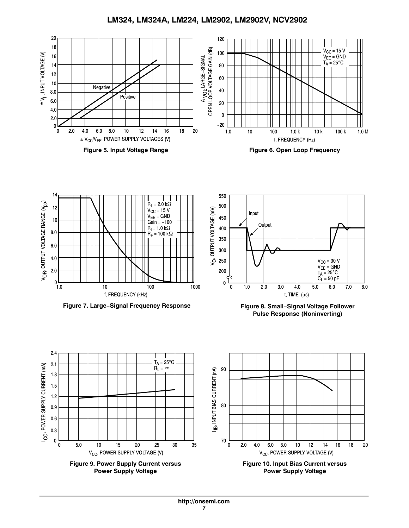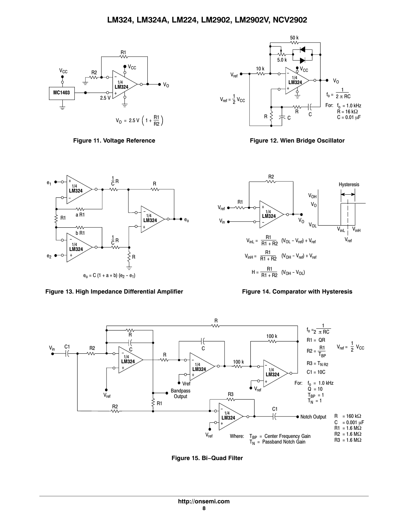



**Figure 11. Voltage Reference Figure 12. Wien Bridge Oscillator**



Figure 13. High Impedance Differential Amplifier Figure 14. Comparator with Hysteresis





**Figure 15. Bi−Quad Filter**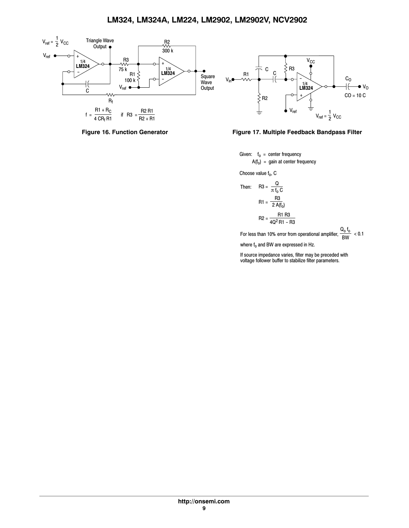





Given: f<sub>o</sub> = center frequency  $A(f_0) = gain$  at center frequency

Choose value  $f_0$ , C

Then: R3 = 
$$
\frac{Q}{\pi f_0 C}
$$
  
R1 =  $\frac{R3}{2 A(f_0)}$   
R2 =  $\frac{R1 R3}{4Q^2 R1 - R3}$ 

For less than 10% error from operational amplifier,  $\frac{\mathsf{Q_0}\mathsf{f_0}}{\mathsf{BW}}$  < 0.1

where  $f_0$  and BW are expressed in Hz.

If source impedance varies, filter may be preceded with voltage follower buffer to stabilize filter parameters.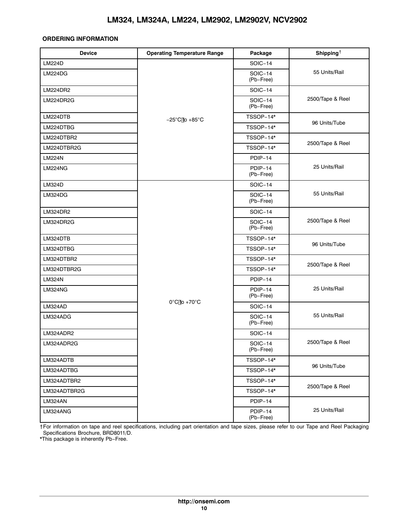#### <span id="page-9-0"></span>**ORDERING INFORMATION**

| <b>Device</b>  | <b>Operating Temperature Range</b>  | Package                     | Shipping <sup><math>\dagger</math></sup> |
|----------------|-------------------------------------|-----------------------------|------------------------------------------|
| <b>LM224D</b>  |                                     | <b>SOIC-14</b>              |                                          |
| LM224DG        |                                     | <b>SOIC-14</b><br>(Pb-Free) | 55 Units/Rail                            |
| LM224DR2       |                                     | <b>SOIC-14</b>              |                                          |
| LM224DR2G      |                                     | <b>SOIC-14</b><br>(Pb-Free) | 2500/Tape & Reel                         |
| LM224DTB       | $-25^{\circ}$ C[to +85 $^{\circ}$ C | TSSOP-14*                   |                                          |
| LM224DTBG      |                                     | TSSOP-14*                   | 96 Units/Tube                            |
| LM224DTBR2     |                                     | TSSOP-14*                   |                                          |
| LM224DTBR2G    |                                     | TSSOP-14*                   | 2500/Tape & Reel                         |
| <b>LM224N</b>  |                                     | PDIP-14                     |                                          |
| LM224NG        |                                     | PDIP-14<br>(Pb-Free)        | 25 Units/Rail                            |
| <b>LM324D</b>  |                                     | <b>SOIC-14</b>              |                                          |
| LM324DG        |                                     | <b>SOIC-14</b><br>(Pb-Free) | 55 Units/Rail                            |
| LM324DR2       |                                     | SOIC-14                     |                                          |
| LM324DR2G      |                                     | <b>SOIC-14</b><br>(Pb-Free) | 2500/Tape & Reel                         |
| LM324DTB       |                                     | TSSOP-14*                   |                                          |
| LM324DTBG      |                                     | TSSOP-14*                   | 96 Units/Tube                            |
| LM324DTBR2     |                                     | TSSOP-14*                   |                                          |
| LM324DTBR2G    |                                     | TSSOP-14*                   | 2500/Tape & Reel                         |
| <b>LM324N</b>  |                                     | PDIP-14                     |                                          |
| <b>LM324NG</b> |                                     | PDIP-14<br>(Pb-Free)        | 25 Units/Rail                            |
| LM324AD        | $0^{\circ}$ C[to +70 $^{\circ}$ C   | <b>SOIC-14</b>              |                                          |
| LM324ADG       |                                     | <b>SOIC-14</b><br>(Pb-Free) | 55 Units/Rail                            |
| LM324ADR2      |                                     | <b>SOIC-14</b>              |                                          |
| LM324ADR2G     |                                     | <b>SOIC-14</b><br>(Pb-Free) | 2500/Tape & Reel                         |
| LM324ADTB      |                                     | TSSOP-14*                   |                                          |
| LM324ADTBG     |                                     | TSSOP-14*                   | 96 Units/Tube                            |
| LM324ADTBR2    |                                     | TSSOP-14*                   | 2500/Tape & Reel                         |
| LM324ADTBR2G   |                                     | TSSOP-14*                   |                                          |
| LM324AN        |                                     | PDIP-14                     |                                          |
| LM324ANG       |                                     | PDIP-14<br>(Pb-Free)        | 25 Units/Rail                            |

†For information on tape and reel specifications, including part orientation and tape sizes, please refer to our Tape and Reel Packaging Specifications Brochure, BRD8011/D.

\*This package is inherently Pb−Free.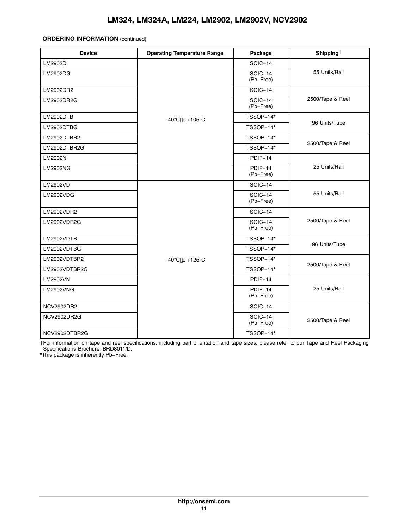#### **ORDERING INFORMATION** (continued)

| <b>Device</b>     | <b>Operating Temperature Range</b>   | Package                     | Shipping <sup><math>\dagger</math></sup> |  |  |
|-------------------|--------------------------------------|-----------------------------|------------------------------------------|--|--|
| LM2902D           |                                      | <b>SOIC-14</b>              |                                          |  |  |
| LM2902DG          |                                      | <b>SOIC-14</b><br>(Pb-Free) | 55 Units/Rail                            |  |  |
| LM2902DR2         |                                      | <b>SOIC-14</b>              |                                          |  |  |
| LM2902DR2G        |                                      | <b>SOIC-14</b><br>(Pb-Free) | 2500/Tape & Reel                         |  |  |
| <b>LM2902DTB</b>  | $-40^{\circ}$ C[to +105 $^{\circ}$ C | TSSOP-14*                   |                                          |  |  |
| LM2902DTBG        |                                      | TSSOP-14*                   | 96 Units/Tube                            |  |  |
| LM2902DTBR2       |                                      | TSSOP-14*                   |                                          |  |  |
| LM2902DTBR2G      |                                      | TSSOP-14*                   | 2500/Tape & Reel                         |  |  |
| LM2902N           |                                      | PDIP-14                     |                                          |  |  |
| LM2902NG          |                                      | PDIP-14<br>(Pb-Free)        | 25 Units/Rail                            |  |  |
| LM2902VD          |                                      | <b>SOIC-14</b>              |                                          |  |  |
| <b>LM2902VDG</b>  |                                      | <b>SOIC-14</b><br>(Pb-Free) | 55 Units/Rail                            |  |  |
| LM2902VDR2        |                                      | <b>SOIC-14</b>              |                                          |  |  |
| LM2902VDR2G       |                                      | <b>SOIC-14</b><br>(Pb-Free) | 2500/Tape & Reel                         |  |  |
| LM2902VDTB        |                                      | TSSOP-14*                   |                                          |  |  |
| LM2902VDTBG       |                                      | TSSOP-14*                   | 96 Units/Tube                            |  |  |
| LM2902VDTBR2      | $-40^{\circ}$ C[to +125 $^{\circ}$ C | TSSOP-14*                   |                                          |  |  |
| LM2902VDTBR2G     |                                      | TSSOP-14*                   | 2500/Tape & Reel                         |  |  |
| <b>LM2902VN</b>   |                                      | PDIP-14                     |                                          |  |  |
| <b>LM2902VNG</b>  |                                      | PDIP-14<br>(Pb-Free)        | 25 Units/Rail                            |  |  |
| <b>NCV2902DR2</b> |                                      | <b>SOIC-14</b>              |                                          |  |  |
| NCV2902DR2G       |                                      | <b>SOIC-14</b><br>(Pb-Free) | 2500/Tape & Reel                         |  |  |
| NCV2902DTBR2G     |                                      | TSSOP-14*                   |                                          |  |  |

†For information on tape and reel specifications, including part orientation and tape sizes, please refer to our Tape and Reel Packaging Specifications Brochure, BRD8011/D.

\*This package is inherently Pb−Free.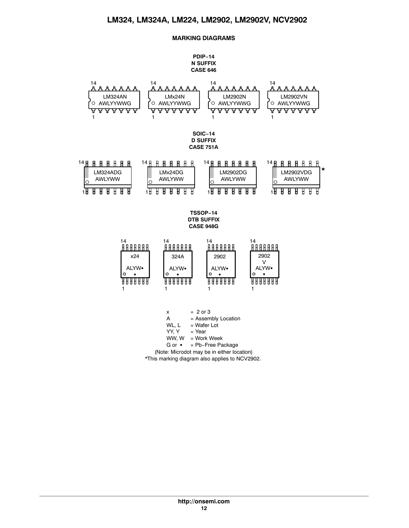### **MARKING DIAGRAMS**

#### **PDIP−14 N SUFFIX CASE 646**

<span id="page-11-0"></span>

\*This marking diagram also applies to NCV2902.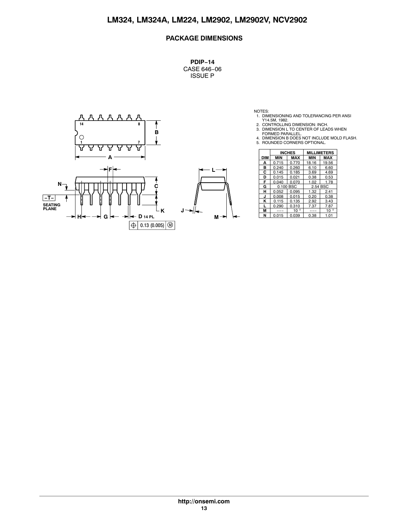## **PACKAGE DIMENSIONS**

**PDIP−14** CASE 646−06 ISSUE P



NOTES:<br>
1. DIMENSIONING AND TOLERANCING PER ANSI<br>
2. CONTROLLING DIMENSION: INCH.<br>
3. DIMENSION L TO CENTER OF LEADS WHEN<br>
FORMED PARALLEL.<br>
4. DIMENSION B DOES NOT INCLUDE MOLD FLASH.<br>
5. ROUNDED CORNERS OPTIONAL.

- 
- 

|     |            | <b>INCHES</b> |              |            |              |  | <b>MILLIMETERS</b> |  |  |
|-----|------------|---------------|--------------|------------|--------------|--|--------------------|--|--|
|     | <b>DIM</b> | <b>MIN</b>    | <b>MAX</b>   | <b>MIN</b> | <b>MAX</b>   |  |                    |  |  |
|     | А          | 0.715         | 0.770        | 18.16      | 19.56        |  |                    |  |  |
|     | в          | 0.240         | 0.260        | 6.10       | 6.60         |  |                    |  |  |
|     | С          | 0.145         | 0.185        | 3.69       | 4.69         |  |                    |  |  |
|     | D          | 0.015         | 0.021        | 0.38       | 0.53         |  |                    |  |  |
|     | F          | 0.040         | 0.070        | 1.02       | 1.78         |  |                    |  |  |
|     | G          |               | 0.100 BSC    | 2.54 BSC   |              |  |                    |  |  |
|     | н          | 0.052         | 0.095        | 1.32       | 2.41         |  |                    |  |  |
|     | J          | 0.008         | 0.015        | 0.20       | 0.38         |  |                    |  |  |
|     | κ          | 0.115         | 0.135        | 2.92       | 3.43         |  |                    |  |  |
|     |            | 0.290         | 0.310        | 7.37       | 7.87         |  |                    |  |  |
|     | M          | ---           | $10^{\circ}$ | ---        | $10^{\circ}$ |  |                    |  |  |
| м → | N          | 0.015         | 0.039        | 0.38       | 1.01         |  |                    |  |  |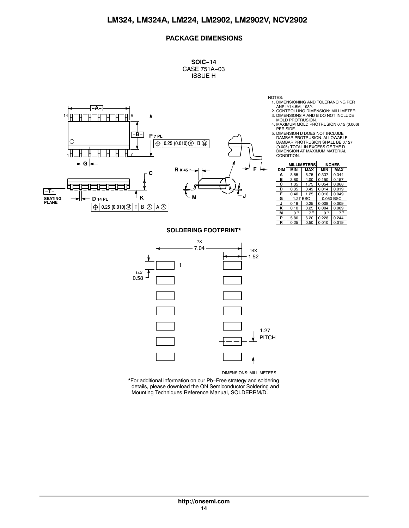## **PACKAGE DIMENSIONS**

**SOIC−14** CASE 751A−03 ISSUE H



NOTES:

- 1. DIMENSIONING AND TOLERANCING PER
- ANSI Y14.5M, 1982. 2. CONTROLLING DIMENSION: MILLIMETER. 3. DIMENSIONS A AND B DO NOT INCLUDE MOLD PROTRUSION.
- 4. MAXIMUM MOLD PROTRUSION 0.15 (0.006) PER SIDE.
- 5. DIMENSION D DOES NOT INCLUDE DAMBAR PROTRUSION. ALLOWABLE DAMBAR PROTRUSION SHALL BE 0.127 (0.005) TOTAL IN EXCESS OF THE D DIMENSION AT MAXIMUM MATERIAL CONDITION.

|     |                     | <b>MILLIMETERS</b> |              | <b>INCHES</b> |
|-----|---------------------|--------------------|--------------|---------------|
| DIM | <b>MIN</b>          | <b>MAX</b>         | <b>MIN</b>   | <b>MAX</b>    |
| А   | 8.55                | 8.75               | 0.337        | 0.344         |
| в   | 3.80                | 4.00               | 0.150        | 0.157         |
| С   | 1.35                | 1.75               | 0.054        | 0.068         |
| D   | 0.35                | 0.49               | 0.014        | 0.019         |
| F   | 0.40                | 1.25               | 0.016        | 0.049         |
| G   |                     | 1.27 BSC           |              | 0.050 BSC     |
| J   | 0.19                | 0.25               | 0.008        | 0.009         |
| κ   | 0.10                | 0.25               | 0.004        | 0.009         |
| М   | $\circ$<br>$\Omega$ | $7^\circ$          | $\circ$<br>O | $7^\circ$     |
| P   | 5.80                | 6.20               | 0.228        | 0.244         |
| R   | 0.25                | 0.50               | 0.010        | 0.019         |

#### **SOLDERING FOOTPRINT\***



\*For additional information on our Pb−Free strategy and soldering details, please download the ON Semiconductor Soldering and Mounting Techniques Reference Manual, SOLDERRM/D.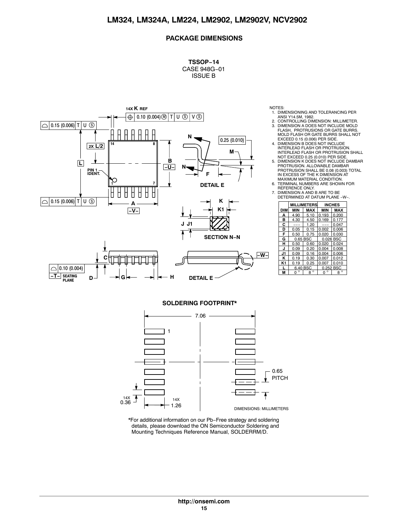### **PACKAGE DIMENSIONS**

**TSSOP−14** CASE 948G−01 ISSUE B



NOTES:

- 1. DIMENSIONING AND TOLERANCING PER
- ANSI Y14.5M, 1982. 2. CONTROLLING DIMENSION: MILLIMETER. 3. DIMENSION A DOES NOT INCLUDE MOLD FLASH, PROTRUSIONS OR GATE BURRS. MOLD FLASH OR GATE BURRS SHALL NOT
- EXCEED 0.15 (0.006) PER SIDE. 4. DIMENSION B DOES NOT INCLUDE INTERLEAD FLASH OR PROTRUSION.
- INTERLEAD FLASH OR PROTRUSION SHALL NOT EXCEED 0.25 (0.010) PER SIDE. 5. DIMENSION K DOES NOT INCLUDE DAMBAR PROTRUSION. ALLOWABLE DAMBAR PROTRUSION SHALL BE 0.08 (0.003) TOTAL IN EXCESS OF THE K DIMENSION AT
- MAXIMUM MATERIAL CONDITION. 6. TERMINAL NUMBERS ARE SHOWN FOR
- REFERENCE ONLY. 7. DIMENSION A AND B ARE TO BE DETERMINED AT DATUM PLANE -W−.

|            |              | <b>MILLIMETERS</b> |              | <b>INCHES</b> |  |  |
|------------|--------------|--------------------|--------------|---------------|--|--|
| <b>DIM</b> | MIN          | <b>MAX</b>         | MIN          | <b>MAX</b>    |  |  |
| А          | 4.90         | 5.10               | 0.193        | 0.200         |  |  |
| в          | 4.30         | 4.50               | 0.169        | 0.177         |  |  |
| c          |              | 1.20               |              | 0.047         |  |  |
| D          | 0.05         | 0.15               | 0.002        | 0.006         |  |  |
| F          | 0.50         | 0.75               | 0.020        | 0.030         |  |  |
| G          | 0.65 BSC     |                    | 0.026 BSC    |               |  |  |
| н          | 0.50         | 0.60               | 0.020        | 0.024         |  |  |
| J          | 0.09         | 0.20               | 0.004        | 0.008         |  |  |
| 11.        | 0.09         | 0.16               | 0.004        | 0.006         |  |  |
| ĸ          | 0.19         | 0.30               | 0.007        | 0.012         |  |  |
| K1         | 0.19         | 0.25<br>0.007      |              | 0.010         |  |  |
|            | 6.40 BSC     |                    | 0.252 BSC    |               |  |  |
| м          | $\circ$<br>n | $8^\circ$          | $\circ$<br>n | $\circ$<br>8  |  |  |

#### **SOLDERING FOOTPRINT\***



\*For additional information on our Pb−Free strategy and soldering details, please download the ON Semiconductor Soldering and Mounting Techniques Reference Manual, SOLDERRM/D.